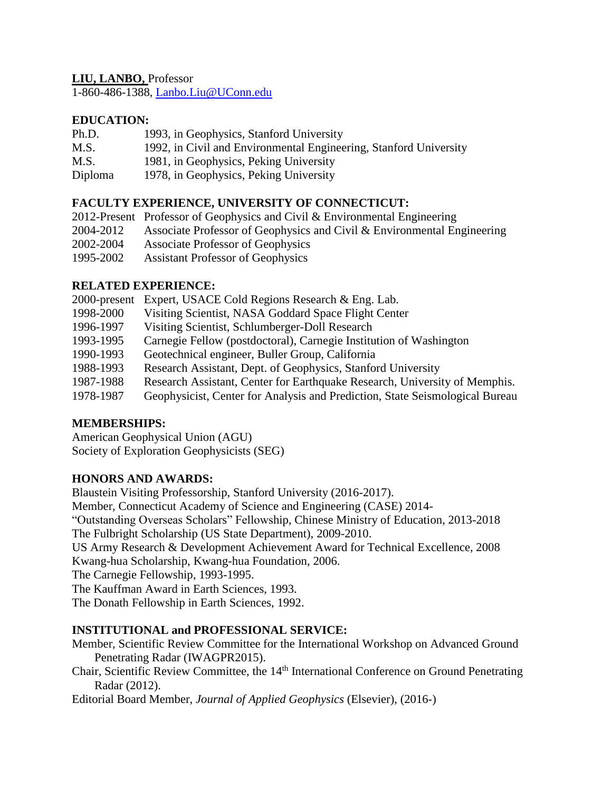## **LIU, LANBO,** Professor

1-860-486-1388, [Lanbo.Liu@UConn.edu](mailto:Lanbo.Liu@UConn.edu)

## **EDUCATION:**

- Ph.D. 1993, in Geophysics, Stanford University
- M.S. 1992, in Civil and Environmental Engineering, Stanford University
- M.S. 1981, in Geophysics, Peking University
- Diploma 1978, in Geophysics, Peking University

## **FACULTY EXPERIENCE, UNIVERSITY OF CONNECTICUT:**

|           | 2012-Present Professor of Geophysics and Civil & Environmental Engineering |
|-----------|----------------------------------------------------------------------------|
| 2004-2012 | Associate Professor of Geophysics and Civil & Environmental Engineering    |
| 2002-2004 | <b>Associate Professor of Geophysics</b>                                   |
| 1995-2002 | <b>Assistant Professor of Geophysics</b>                                   |

## **RELATED EXPERIENCE:**

| 2000-present | Expert, USACE Cold Regions Research & Eng. Lab.                              |
|--------------|------------------------------------------------------------------------------|
| 1998-2000    | Visiting Scientist, NASA Goddard Space Flight Center                         |
| 1996-1997    | Visiting Scientist, Schlumberger-Doll Research                               |
| 1993-1995    | Carnegie Fellow (postdoctoral), Carnegie Institution of Washington           |
| 1990-1993    | Geotechnical engineer, Buller Group, California                              |
| 1988-1993    | Research Assistant, Dept. of Geophysics, Stanford University                 |
| 1987-1988    | Research Assistant, Center for Earthquake Research, University of Memphis.   |
| 1978-1987    | Geophysicist, Center for Analysis and Prediction, State Seismological Bureau |

# **MEMBERSHIPS:**

American Geophysical Union (AGU) Society of Exploration Geophysicists (SEG)

## **HONORS AND AWARDS:**

Blaustein Visiting Professorship, Stanford University (2016-2017). Member, Connecticut Academy of Science and Engineering (CASE) 2014- "Outstanding Overseas Scholars" Fellowship, Chinese Ministry of Education, 2013-2018 The Fulbright Scholarship (US State Department), 2009-2010. US Army Research & Development Achievement Award for Technical Excellence, 2008 Kwang-hua Scholarship, Kwang-hua Foundation, 2006. The Carnegie Fellowship, 1993-1995. The Kauffman Award in Earth Sciences, 1993.

The Donath Fellowship in Earth Sciences, 1992.

## **INSTITUTIONAL and PROFESSIONAL SERVICE:**

Member, Scientific Review Committee for the International Workshop on Advanced Ground Penetrating Radar (IWAGPR2015).

Chair, Scientific Review Committee, the 14<sup>th</sup> International Conference on Ground Penetrating Radar (2012).

Editorial Board Member, *Journal of Applied Geophysics* (Elsevier), (2016-)